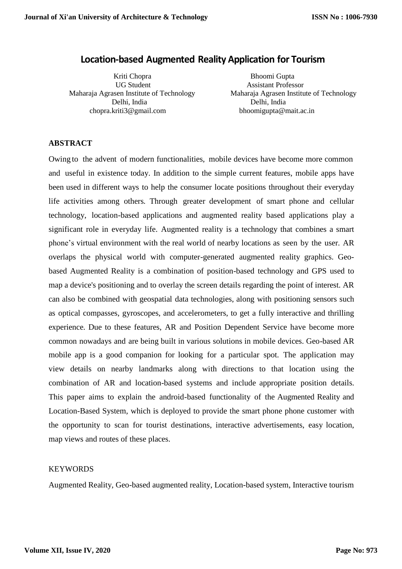# **Location-based Augmented Reality Application for Tourism**

Kriti Chopra Bhoomi Gupta UG Student Assistant Professor Delhi, India Delhi, India chopra.kriti3@gmail.com bhoomigupta@mait.ac.in

Maharaja Agrasen Institute of Technology Maharaja Agrasen Institute of Technology

### **ABSTRACT**

Owing to the advent of modern functionalities, mobile devices have become more common and useful in existence today. In addition to the simple current features, mobile apps have been used in different ways to help the consumer locate positions throughout their everyday life activities among others. Through greater development of smart phone and cellular technology, location-based applications and augmented reality based applications play a significant role in everyday life. Augmented reality is a technology that combines a smart phone's virtual environment with the real world of nearby locations as seen by the user. AR overlaps the physical world with computer-generated augmented reality graphics. Geobased Augmented Reality is a combination of position-based technology and GPS used to map a device's positioning and to overlay the screen details regarding the point of interest. AR can also be combined with geospatial data technologies, along with positioning sensors such as optical compasses, gyroscopes, and accelerometers, to get a fully interactive and thrilling experience. Due to these features, AR and Position Dependent Service have become more common nowadays and are being built in various solutions in mobile devices. Geo-based AR mobile app is a good companion for looking for a particular spot. The application may view details on nearby landmarks along with directions to that location using the combination of AR and location-based systems and include appropriate position details. This paper aims to explain the android-based functionality of the Augmented Reality and Location-Based System, which is deployed to provide the smart phone phone customer with the opportunity to scan for tourist destinations, interactive advertisements, easy location, map views and routes of these places.

## **KEYWORDS**

Augmented Reality, Geo-based augmented reality, Location-based system, Interactive tourism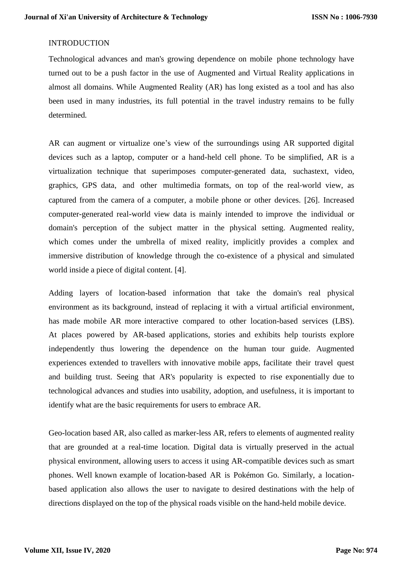# INTRODUCTION

Technological advances and man's growing dependence on mobile phone technology have turned out to be a push factor in the use of Augmented and Virtual Reality applications in almost all domains. While Augmented Reality (AR) has long existed as a tool and has also been used in many industries, its full potential in the travel industry remains to be fully determined.

AR can augment or virtualize one's view of the surroundings using AR supported digital devices such as a laptop, computer or a hand-held cell phone. To be simplified, AR is a virtualization technique that superimposes computer-generated data, suchastext, video, graphics, GPS data, and other multimedia formats, on top of the real‐world view, as captured from the camera of a computer, a mobile phone or other devices. [26]. Increased computer-generated real-world view data is mainly intended to improve the individual or domain's perception of the subject matter in the physical setting. Augmented reality, which comes under the umbrella of mixed reality, implicitly provides a complex and immersive distribution of knowledge through the co-existence of a physical and simulated world inside a piece of digital content. [4].

Adding layers of location-based information that take the domain's real physical environment as its background, instead of replacing it with a virtual artificial environment, has made mobile AR more interactive compared to other location-based services (LBS). At places powered by AR-based applications, stories and exhibits help tourists explore independently thus lowering the dependence on the human tour guide. Augmented experiences extended to travellers with innovative mobile apps, facilitate their travel quest and building trust. Seeing that AR's popularity is expected to rise exponentially due to technological advances and studies into usability, adoption, and usefulness, it is important to identify what are the basic requirements for users to embrace AR.

Geo-location based AR, also called as marker-less AR, refers to elements of augmented reality that are grounded at a real-time location. Digital data is virtually preserved in the actual physical environment, allowing users to access it using AR-compatible devices such as smart phones. Well known example of location-based AR is Pokémon Go. Similarly, a locationbased application also allows the user to navigate to desired destinations with the help of directions displayed on the top of the physical roads visible on the hand-held mobile device.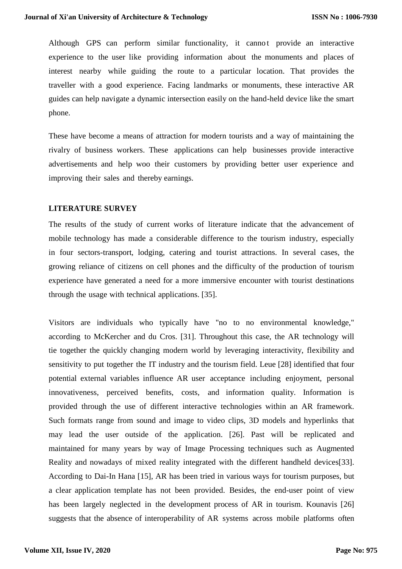Although GPS can perform similar functionality, it cannot provide an interactive experience to the user like providing information about the monuments and places of interest nearby while guiding the route to a particular location. That provides the traveller with a good experience. Facing landmarks or monuments, these interactive AR guides can help navigate a dynamic intersection easily on the hand-held device like the smart phone.

These have become a means of attraction for modern tourists and a way of maintaining the rivalry of business workers. These applications can help businesses provide interactive advertisements and help woo their customers by providing better user experience and improving their sales and thereby earnings.

### **LITERATURE SURVEY**

The results of the study of current works of literature indicate that the advancement of mobile technology has made a considerable difference to the tourism industry, especially in four sectors-transport, lodging, catering and tourist attractions. In several cases, the growing reliance of citizens on cell phones and the difficulty of the production of tourism experience have generated a need for a more immersive encounter with tourist destinations through the usage with technical applications. [35].

Visitors are individuals who typically have "no to no environmental knowledge," according to McKercher and du Cros. [31]. Throughout this case, the AR technology will tie together the quickly changing modern world by leveraging interactivity, flexibility and sensitivity to put together the IT industry and the tourism field. Leue [28] identified that four potential external variables influence AR user acceptance including enjoyment, personal innovativeness, perceived benefits, costs, and information quality. Information is provided through the use of different interactive technologies within an AR framework. Such formats range from sound and image to video clips, 3D models and hyperlinks that may lead the user outside of the application. [26]. Past will be replicated and maintained for many years by way of Image Processing techniques such as Augmented Reality and nowadays of mixed reality integrated with the different handheld devices[33]. According to Dai-In Hana [15], AR has been tried in various ways for tourism purposes, but a clear application template has not been provided. Besides, the end-user point of view has been largely neglected in the development process of AR in tourism. Kounavis [26] suggests that the absence of interoperability of AR systems across mobile platforms often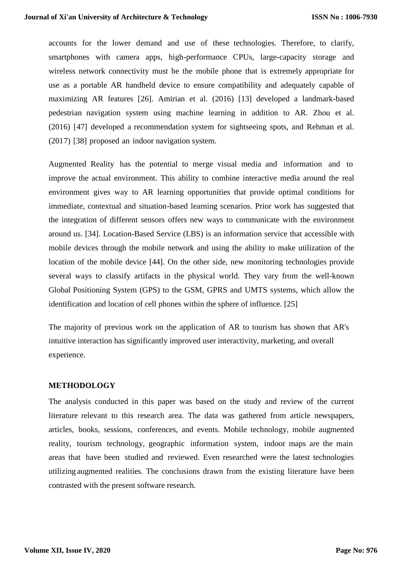accounts for the lower demand and use of these technologies. Therefore, to clarify, smartphones with camera apps, high-performance CPUs, large-capacity storage and wireless network connectivity must be the mobile phone that is extremely appropriate for use as a portable AR handheld device to ensure compatibility and adequately capable of maximizing AR features [26]. Amirian et al. (2016) [13] developed a landmark-based pedestrian navigation system using machine learning in addition to AR. Zhou et al. (2016) [47] developed a recommendation system for sightseeing spots, and Rehman et al. (2017) [38] proposed an indoor navigation system.

Augmented Reality has the potential to merge visual media and information and to improve the actual environment. This ability to combine interactive media around the real environment gives way to AR learning opportunities that provide optimal conditions for immediate, contextual and situation-based learning scenarios. Prior work has suggested that the integration of different sensors offers new ways to communicate with the environment around us. [34]. Location-Based Service (LBS) is an information service that accessible with mobile devices through the mobile network and using the ability to make utilization of the location of the mobile device [44]. On the other side, new monitoring technologies provide several ways to classify artifacts in the physical world. They vary from the well-known Global Positioning System (GPS) to the GSM, GPRS and UMTS systems, which allow the identification and location of cell phones within the sphere of influence. [25]

The majority of previous work on the application of AR to tourism has shown that AR's intuitive interaction has significantly improved user interactivity, marketing, and overall experience.

#### **METHODOLOGY**

The analysis conducted in this paper was based on the study and review of the current literature relevant to this research area. The data was gathered from article newspapers, articles, books, sessions, conferences, and events. Mobile technology, mobile augmented reality, tourism technology, geographic information system, indoor maps are the main areas that have been studied and reviewed. Even researched were the latest technologies utilizing augmented realities. The conclusions drawn from the existing literature have been contrasted with the present software research.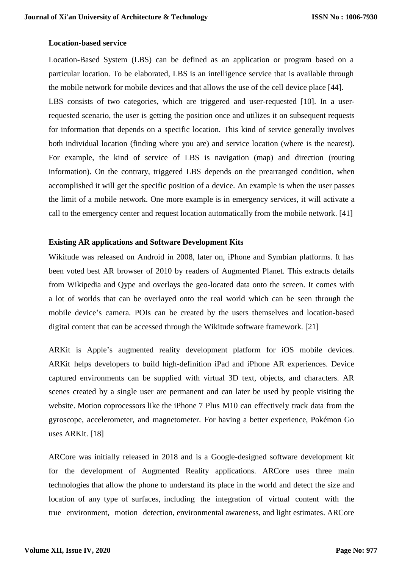## **Location-based service**

Location-Based System (LBS) can be defined as an application or program based on a particular location. To be elaborated, LBS is an intelligence service that is available through the mobile network for mobile devices and that allows the use of the cell device place [44]. LBS consists of two categories, which are triggered and user-requested [10]. In a userrequested scenario, the user is getting the position once and utilizes it on subsequent requests for information that depends on a specific location. This kind of service generally involves both individual location (finding where you are) and service location (where is the nearest). For example, the kind of service of LBS is navigation (map) and direction (routing information). On the contrary, triggered LBS depends on the prearranged condition, when accomplished it will get the specific position of a device. An example is when the user passes the limit of a mobile network. One more example is in emergency services, it will activate a call to the emergency center and request location automatically from the mobile network. [41]

### **Existing AR applications and Software Development Kits**

Wikitude was released on Android in 2008, later on, iPhone and Symbian platforms. It has been voted best AR browser of 2010 by readers of Augmented Planet. This extracts details from Wikipedia and Qype and overlays the geo-located data onto the screen. It comes with a lot of worlds that can be overlayed onto the real world which can be seen through the mobile device's camera. POIs can be created by the users themselves and location-based digital content that can be accessed through the Wikitude software framework. [21]

ARKit is Apple's augmented reality development platform for iOS mobile devices. ARKit helps developers to build high-definition iPad and iPhone AR experiences. Device captured environments can be supplied with virtual 3D text, objects, and characters. AR scenes created by a single user are permanent and can later be used by people visiting the website. Motion coprocessors like the iPhone 7 Plus M10 can effectively track data from the gyroscope, accelerometer, and magnetometer. For having a better experience, Pokémon Go uses ARKit. [18]

ARCore was initially released in 2018 and is a Google-designed software development kit for the development of Augmented Reality applications. ARCore uses three main technologies that allow the phone to understand its place in the world and detect the size and location of any type of surfaces, including the integration of virtual content with the true environment, motion detection, environmental awareness, and light estimates. ARCore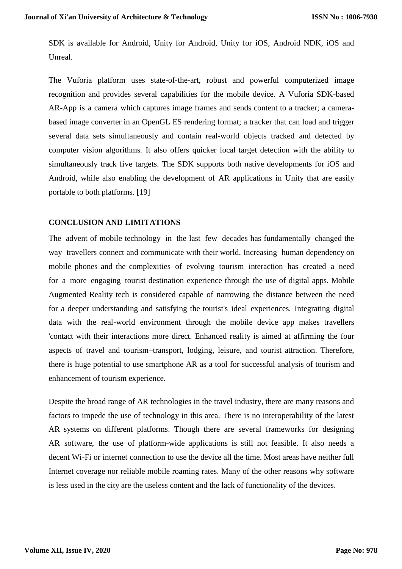SDK is available for Android, Unity for Android, Unity for iOS, Android NDK, iOS and Unreal.

The Vuforia platform uses state-of-the-art, robust and powerful computerized image recognition and provides several capabilities for the mobile device. A Vuforia SDK-based AR-App is a camera which captures image frames and sends content to a tracker; a camerabased image converter in an OpenGL ES rendering format; a tracker that can load and trigger several data sets simultaneously and contain real-world objects tracked and detected by computer vision algorithms. It also offers quicker local target detection with the ability to simultaneously track five targets. The SDK supports both native developments for iOS and Android, while also enabling the development of AR applications in Unity that are easily portable to both platforms. [19]

## **CONCLUSION AND LIMITATIONS**

The advent of mobile technology in the last few decades has fundamentally changed the way travellers connect and communicate with their world. Increasing human dependency on mobile phones and the complexities of evolving tourism interaction has created a need for a more engaging tourist destination experience through the use of digital apps. Mobile Augmented Reality tech is considered capable of narrowing the distance between the need for a deeper understanding and satisfying the tourist's ideal experiences. Integrating digital data with the real-world environment through the mobile device app makes travellers 'contact with their interactions more direct. Enhanced reality is aimed at affirming the four aspects of travel and tourism–transport, lodging, leisure, and tourist attraction. Therefore, there is huge potential to use smartphone AR as a tool for successful analysis of tourism and enhancement of tourism experience.

Despite the broad range of AR technologies in the travel industry, there are many reasons and factors to impede the use of technology in this area. There is no interoperability of the latest AR systems on different platforms. Though there are several frameworks for designing AR software, the use of platform-wide applications is still not feasible. It also needs a decent Wi-Fi or internet connection to use the device all the time. Most areas have neither full Internet coverage nor reliable mobile roaming rates. Many of the other reasons why software is less used in the city are the useless content and the lack of functionality of the devices.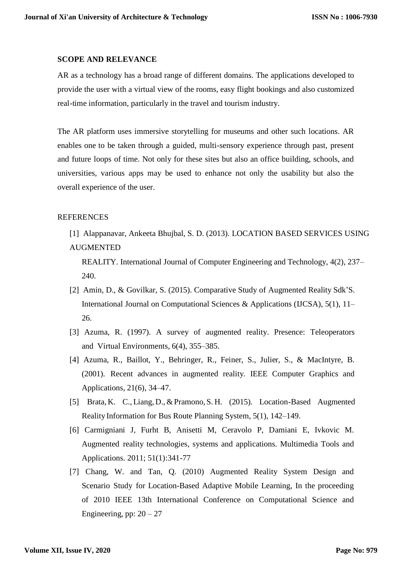#### **SCOPE AND RELEVANCE**

AR as a technology has a broad range of different domains. The applications developed to provide the user with a virtual view of the rooms, easy flight bookings and also customized real-time information, particularly in the travel and tourism industry.

The AR platform uses immersive storytelling for museums and other such locations. AR enables one to be taken through a guided, multi-sensory experience through past, present and future loops of time. Not only for these sites but also an office building, schools, and universities, various apps may be used to enhance not only the usability but also the overall experience of the user.

# **REFERENCES**

[1] Alappanavar, Ankeeta Bhujbal, S. D. (2013). LOCATION BASED SERVICES USING AUGMENTED

REALITY. International Journal of Computer Engineering and Technology, 4(2), 237– 240.

- [2] Amin, D., & Govilkar, S. (2015). Comparative Study of Augmented Reality Sdk'S. International Journal on Computational Sciences & Applications (IJCSA), 5(1), 11– 26.
- [3] Azuma, R. (1997). A survey of augmented reality. Presence: Teleoperators and Virtual Environments, 6(4), 355–385.
- [4] Azuma, R., Baillot, Y., Behringer, R., Feiner, S., Julier, S., & MacIntyre, B. (2001). Recent advances in augmented reality. IEEE Computer Graphics and Applications, 21(6), 34–47.
- [5] Brata, K. C., Liang, D., & Pramono, S. H. (2015). Location-Based Augmented Reality Information for Bus Route Planning System, 5(1), 142–149.
- [6] Carmigniani J, Furht B, Anisetti M, Ceravolo P, Damiani E, Ivkovic M. Augmented reality technologies, systems and applications. Multimedia Tools and Applications. 2011; 51(1):341-77
- [7] Chang, W. and Tan, Q. (2010) Augmented Reality System Design and Scenario Study for Location-Based Adaptive Mobile Learning, In the proceeding of 2010 IEEE 13th International Conference on Computational Science and Engineering, pp:  $20 - 27$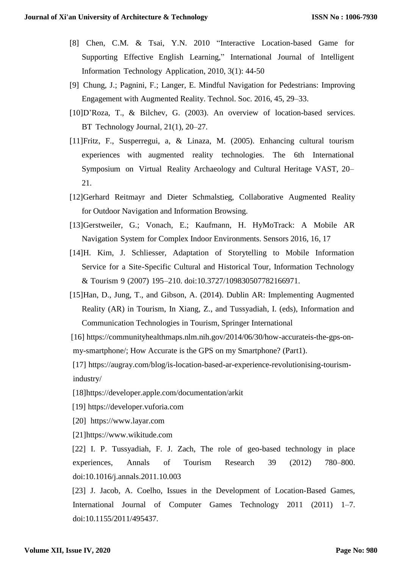- [8] Chen, C.M. & Tsai, Y.N. 2010 "Interactive Location-based Game for Supporting Effective English Learning," International Journal of Intelligent Information Technology Application, 2010, 3(1): 44-50
- [9] Chung, J.; Pagnini, F.; Langer, E. Mindful Navigation for Pedestrians: Improving Engagement with Augmented Reality. Technol. Soc. 2016, 45, 29–33.
- [10]D'Roza, T., & Bilchev, G. (2003). An overview of location-based services. BT Technology Journal, 21(1), 20–27.
- [11]Fritz, F., Susperregui, a, & Linaza, M. (2005). Enhancing cultural tourism experiences with augmented reality technologies. The 6th International Symposium on Virtual Reality Archaeology and Cultural Heritage VAST, 20– 21.
- [12]Gerhard Reitmayr and Dieter Schmalstieg, Collaborative Augmented Reality for Outdoor Navigation and Information Browsing.
- [13]Gerstweiler, G.; Vonach, E.; Kaufmann, H. HyMoTrack: A Mobile AR Navigation System for Complex Indoor Environments. Sensors 2016, 16, 17
- [14]H. Kim, J. Schliesser, Adaptation of Storytelling to Mobile Information Service for a Site-Specific Cultural and Historical Tour, Information Technology & Tourism 9 (2007) 195–210. doi:10.3727/109830507782166971.
- [15]Han, D., Jung, T., and Gibson, A. (2014). Dublin AR: Implementing Augmented Reality (AR) in Tourism, In Xiang, Z., and Tussyadiah, I. (eds), Information and Communication Technologies in Tourism, Springer International
- [16] https://communityhealthmaps.nlm.nih.gov/2014/06/30/how-accurateis-the-gps-onmy[-smartphone/;](https://communityhealthmaps.nlm.nih.gov/2014/06/30/how-accurateis-the-gps-on-my-smartphone/) How Accurate is the GPS on my Smartphone? (Part1).
- [17] https://augray.com/blog/is-location-based-ar-experience-revolutionising-tourismindustry/
- [18]https://developer.apple.com/documentation/arkit
- [19] https://developer.vuforia.com
- [20] https://www.layar.com
- [21]https://www.wikitude.com

[22] I. P. Tussyadiah, F. J. Zach, The role of geo-based technology in place experiences, Annals of Tourism Research 39 (2012) 780–800. doi:10.1016/j.annals.2011.10.003

[23] J. Jacob, A. Coelho, Issues in the Development of Location-Based Games, International Journal of Computer Games Technology 2011 (2011) 1–7. doi:10.1155/2011/495437.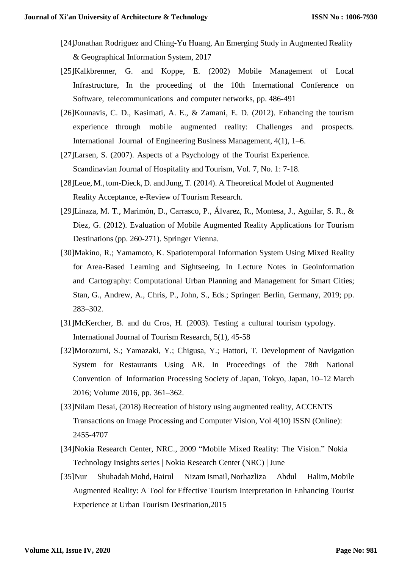- [24]Jonathan Rodriguez and Ching-Yu Huang, An Emerging Study in Augmented Reality & Geographical Information System, 2017
- [25]Kalkbrenner, G. and Koppe, E. (2002) Mobile Management of Local Infrastructure, In the proceeding of the 10th International Conference on Software, telecommunications and computer networks, pp. 486-491
- [26]Kounavis, C. D., Kasimati, A. E., & Zamani, E. D. (2012). Enhancing the tourism experience through mobile augmented reality: Challenges and prospects. International Journal of Engineering Business Management, 4(1), 1–6.
- [27]Larsen, S. (2007). Aspects of a Psychology of the Tourist Experience. Scandinavian Journal of Hospitality and Tourism, Vol. 7, No. 1: 7-18.
- [28]Leue, M., tom-Dieck, D. and Jung, T. (2014). A Theoretical Model of Augmented Reality Acceptance, e-Review of Tourism Research.
- [29]Linaza, M. T., Marimón, D., Carrasco, P., Álvarez, R., Montesa, J., Aguilar, S. R., & Diez, G. (2012). Evaluation of Mobile Augmented Reality Applications for Tourism Destinations (pp. 260-271). Springer Vienna.
- [30]Makino, R.; Yamamoto, K. Spatiotemporal Information System Using Mixed Reality for Area-Based Learning and Sightseeing. In Lecture Notes in Geoinformation and Cartography: Computational Urban Planning and Management for Smart Cities; Stan, G., Andrew, A., Chris, P., John, S., Eds.; Springer: Berlin, Germany, 2019; pp. 283–302.
- [31]McKercher, B. and du Cros, H. (2003). Testing a cultural tourism typology. International Journal of Tourism Research, 5(1), 45-58
- [32]Morozumi, S.; Yamazaki, Y.; Chigusa, Y.; Hattori, T. Development of Navigation System for Restaurants Using AR. In Proceedings of the 78th National Convention of Information Processing Society of Japan, Tokyo, Japan, 10–12 March 2016; Volume 2016, pp. 361–362.
- [33]Nilam Desai, (2018) Recreation of history using augmented reality, ACCENTS Transactions on Image Processing and Computer Vision, Vol 4(10) ISSN (Online): 2455-4707
- [34]Nokia Research Center, NRC., 2009 "Mobile Mixed Reality: The Vision." Nokia Technology Insights series | Nokia Research Center (NRC) | June
- [35]Nur Shuhadah Mohd, Hairul Nizam Ismail, Norhazliza Abdul Halim, Mobile Augmented Reality: A Tool for Effective Tourism Interpretation in Enhancing Tourist Experience at Urban Tourism Destination,2015